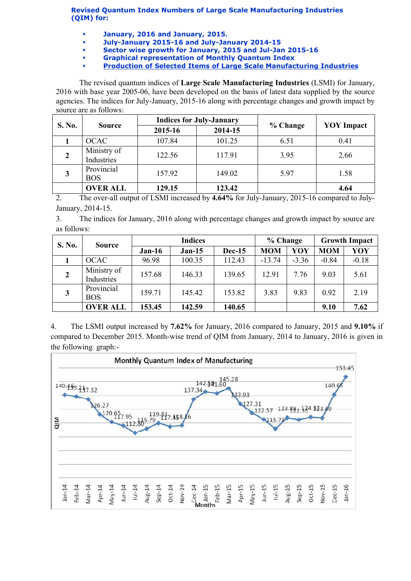Revised Quantum Index Numbers of Large Scale Manufacturing Industries (QIM) for:

- January, 2016 and January, 2015.
- July-January 2015-16 and July-January 2014-15
- Sector wise growth for January, 2015 and Jul-Jan 2015-16
	- Graphical representation of Monthly Quantum Index
- [Production of Selected Items of Large Scale Manufacturing Industries](http://www.statpak.gov.pk/depts/fbs/statistics/qim/qim_details.pdf)

The revised quantum indices of Large Scale Manufacturing Industries (LSMI) for January, 2016 with base year 2005-06, have been developed on the basis of latest data supplied by the source agencies. The indices for July-January, 2015-16 along with percentage changes and growth impact by source are as follows:

| S. No.       | <b>Source</b>             |         | <b>Indices for July-January</b> |          | <b>YOY</b> Impact |  |
|--------------|---------------------------|---------|---------------------------------|----------|-------------------|--|
|              |                           | 2015-16 | 2014-15                         | % Change |                   |  |
|              | <b>OCAC</b>               | 107.84  | 101.25                          | 6.51     | 0.41              |  |
| $\mathbf{2}$ | Ministry of<br>Industries | 122.56  | 117.91                          | 3.95     | 2.66              |  |
| 3            | Provincial<br><b>BOS</b>  | 157.92  | 149.02                          | 5.97     | 1.58              |  |
|              | <b>OVER ALL</b>           | 129.15  | 123.42                          |          | 4.64              |  |

2. The over-all output of LSMI increased by 4.64% for July-January, 2015-16 compared to July-January, 2014-15.

3. The indices for January, 2016 along with percentage changes and growth impact by source are as follows:

| <b>S. No.</b> | <b>Source</b>             | <b>Indices</b> |          |               | % Change   |         | <b>Growth Impact</b> |         |
|---------------|---------------------------|----------------|----------|---------------|------------|---------|----------------------|---------|
|               |                           | $Jan-16$       | $Jan-15$ | <b>Dec-15</b> | <b>MOM</b> | YOY     | <b>MOM</b>           | YOY     |
|               | <b>OCAC</b>               | 96.98          | 100.35   | 112.43        | $-13.74$   | $-3.36$ | $-0.84$              | $-0.18$ |
| $\mathbf{2}$  | Ministry of<br>Industries | 157.68         | 146.33   | 139.65        | 12.91      | 7.76    | 9.03                 | 5.61    |
| 3             | Provincial<br><b>BOS</b>  | 159.71         | 145.42   | 153.82        | 3.83       | 9.83    | 0.92                 | 2.19    |
|               | <b>OVER ALL</b>           | 153.45         | 142.59   | 140.65        |            |         | 9.10                 | 7.62    |

4. The LSMI output increased by 7.62% for January, 2016 compared to January, 2015 and 9.10% if compared to December 2015. Month-wise trend of QIM from January, 2014 to January, 2016 is given in the following graph:-